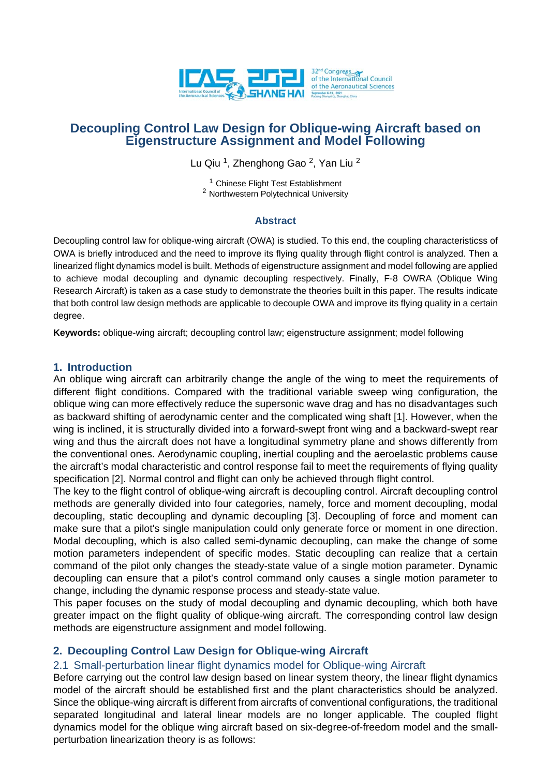

## **Decoupling Control Law Design for Oblique-wing Aircraft based on Eigenstructure Assignment and Model Following**

Lu Qiu<sup>1</sup>, Zhenghong Gao<sup>2</sup>, Yan Liu<sup>2</sup>

<sup>1</sup> Chinese Flight Test Establishment <sup>2</sup> Northwestern Polytechnical University

### **Abstract**

Decoupling control law for oblique-wing aircraft (OWA) is studied. To this end, the coupling characteristicss of OWA is briefly introduced and the need to improve its flying quality through flight control is analyzed. Then a linearized flight dynamics model is built. Methods of eigenstructure assignment and model following are applied to achieve modal decoupling and dynamic decoupling respectively. Finally, F-8 OWRA (Oblique Wing Research Aircraft) is taken as a case study to demonstrate the theories built in this paper. The results indicate that both control law design methods are applicable to decouple OWA and improve its flying quality in a certain degree.

**Keywords:** oblique-wing aircraft; decoupling control law; eigenstructure assignment; model following

### **1. Introduction**

An oblique wing aircraft can arbitrarily change the angle of the wing to meet the requirements of different flight conditions. Compared with the traditional variable sweep wing configuration, the oblique wing can more effectively reduce the supersonic wave drag and has no disadvantages such as backward shifting of aerodynamic center and the complicated wing shaft [1]. However, when the wing is inclined, it is structurally divided into a forward-swept front wing and a backward-swept rear wing and thus the aircraft does not have a longitudinal symmetry plane and shows differently from the conventional ones. Aerodynamic coupling, inertial coupling and the aeroelastic problems cause the aircraft's modal characteristic and control response fail to meet the requirements of flying quality specification [2]. Normal control and flight can only be achieved through flight control.

The key to the flight control of oblique-wing aircraft is decoupling control. Aircraft decoupling control methods are generally divided into four categories, namely, force and moment decoupling, modal decoupling, static decoupling and dynamic decoupling [3]. Decoupling of force and moment can make sure that a pilot's single manipulation could only generate force or moment in one direction. Modal decoupling, which is also called semi-dynamic decoupling, can make the change of some motion parameters independent of specific modes. Static decoupling can realize that a certain command of the pilot only changes the steady-state value of a single motion parameter. Dynamic decoupling can ensure that a pilot's control command only causes a single motion parameter to change, including the dynamic response process and steady-state value.

This paper focuses on the study of modal decoupling and dynamic decoupling, which both have greater impact on the flight quality of oblique-wing aircraft. The corresponding control law design methods are eigenstructure assignment and model following.

## **2. Decoupling Control Law Design for Oblique-wing Aircraft**

### 2.1 Small-perturbation linear flight dynamics model for Oblique-wing Aircraft

Before carrying out the control law design based on linear system theory, the linear flight dynamics model of the aircraft should be established first and the plant characteristics should be analyzed. Since the oblique-wing aircraft is different from aircrafts of conventional configurations, the traditional separated longitudinal and lateral linear models are no longer applicable. The coupled flight dynamics model for the oblique wing aircraft based on six-degree-of-freedom model and the smallperturbation linearization theory is as follows: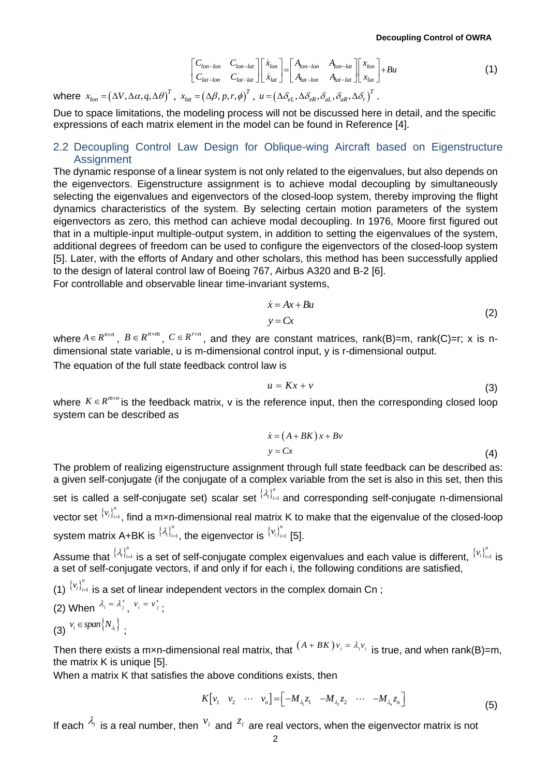**Decoupling Control of OWRA**

$$
\begin{bmatrix} C_{lon-lon} & C_{lon-lat} \ C_{lat-lat} & C_{lat-lat} \end{bmatrix} \begin{bmatrix} \dot{x}_{lon} \ \dot{x}_{lat} \end{bmatrix} = \begin{bmatrix} A_{lon-lon} & A_{lon-lat} \ A_{lat-lon} & A_{lat-lat} \end{bmatrix} \begin{bmatrix} x_{lon} \ x_{lat} \end{bmatrix} + Bu \tag{1}
$$

where  $x_{lon} = (\Delta V, \Delta \alpha, q, \Delta \theta)^T$ ,  $x_{lat} = (\Delta \beta, p, r, \phi)^T$ ,  $u = (\Delta \delta_{eL}, \Delta \delta_{eR}, \delta_{aL}, \delta_{aR}, \Delta \delta_r)^T$ .

Due to space limitations, the modeling process will not be discussed here in detail, and the specific expressions of each matrix element in the model can be found in Reference [4].

## 2.2 Decoupling Control Law Design for Oblique-wing Aircraft based on Eigenstructure **Assignment**

The dynamic response of a linear system is not only related to the eigenvalues, but also depends on the eigenvectors. Eigenstructure assignment is to achieve modal decoupling by simultaneously selecting the eigenvalues and eigenvectors of the closed-loop system, thereby improving the flight dynamics characteristics of the system. By selecting certain motion parameters of the system eigenvectors as zero, this method can achieve modal decoupling. In 1976, Moore first figured out that in a multiple-input multiple-output system, in addition to setting the eigenvalues of the system, additional degrees of freedom can be used to configure the eigenvectors of the closed-loop system [5]. Later, with the efforts of Andary and other scholars, this method has been successfully applied to the design of lateral control law of Boeing 767, Airbus A320 and B-2 [6].

For controllable and observable linear time-invariant systems,

$$
\begin{aligned}\n\dot{x} &= Ax + Bu \\
y &= Cx\n\end{aligned} \tag{2}
$$

where  $A \in R^{n \times n}$ ,  $B \in R^{n \times m}$ ,  $C \in R^{r \times n}$ , and they are constant matrices, rank(B)=m, rank(C)=r; x is ndimensional state variable, u is m-dimensional control input, y is r-dimensional output. The equation of the full state feedback control law is

$$
u = Kx + v \tag{3}
$$

where  $K \in R^{m \times n}$  is the feedback matrix, v is the reference input, then the corresponding closed loop system can be described as

$$
\begin{aligned} \n\dot{x} &= \left(A + BK\right)x + Bv \\ \ny &= Cx \tag{4} \n\end{aligned}
$$

The problem of realizing eigenstructure assignment through full state feedback can be described as: a given self-conjugate (if the conjugate of a complex variable from the set is also in this set, then this set is called a self-conjugate set) scalar set  ${^{\{\lambda\}}_{i=1}^{n}}$  and corresponding self-conjugate n-dimensional vector set  $^{\{v_i\}_{i=1}^n}$ , find a m×n-dimensional real matrix K to make that the eigenvalue of the closed-loop system matrix A+BK is  $\{ \lambda_i \}_{i=1}^n$ , the eigenvector is  $\{ \nu_i \}_{i=1}^n$  [5].

Assume that  $\{\lambda_i\}_{i=1}^n$  is a set of self-conjugate complex eigenvalues and each value is different,  $\{v_i\}_{i=1}^n$  is a set of self-conjugate vectors, if and only if for each i, the following conditions are satisfied,

(1)  $\{v_i\}_{i=1}^n$  is a set of linear independent vectors in the complex domain Cn ;

(2) When 
$$
\lambda_i = \lambda_j^*
$$
,  $v_i = v_j^*$ ;  
\n(3)  $v_i \in span\{N_{\lambda_i}\}$ ;

Then there exists a m×n-dimensional real matrix, that  $(A + BK)v_i = \lambda_i v_i$  is true, and when rank(B)=m, the matrix K is unique [5].

When a matrix K that satisfies the above conditions exists, then

$$
K[v_1 \quad v_2 \quad \cdots \quad v_n] = \begin{bmatrix} -M_{\lambda_1} z_1 & -M_{\lambda_2} z_2 & \cdots & -M_{\lambda_n} z_n \end{bmatrix}
$$
 (5)

If each  $\hat{\lambda}_i$  is a real number, then  $\stackrel{V_i}{\sim}$  and  $\stackrel{Z_i}{\sim}$  are real vectors, when the eigenvector matrix is not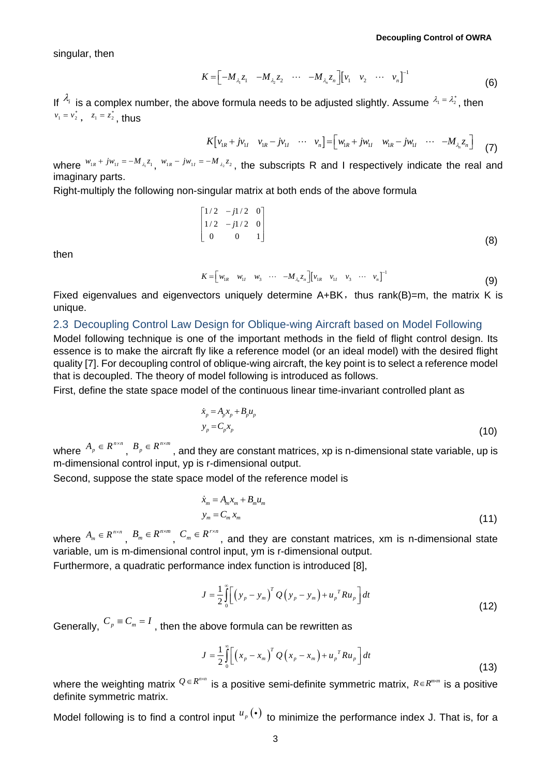singular, then

$$
K = \begin{bmatrix} -M_{\lambda_1} z_1 & -M_{\lambda_2} z_2 & \cdots & -M_{\lambda_n} z_n \end{bmatrix} \begin{bmatrix} v_1 & v_2 & \cdots & v_n \end{bmatrix}^{-1}
$$
 (6)

If  $\lambda_i$  is a complex number, the above formula needs to be adjusted slightly. Assume  $\lambda_i$  =  $\lambda_2^*$ , then  $v_1 = v_2^*$ ,  $z_1 = z_2^*$ , thus

$$
K[v_{1R} + jv_{1I} \quad v_{1R} - jv_{1I} \quad \cdots \quad v_{n}] = [w_{1R} + jw_{1I} \quad w_{1R} - jw_{1I} \quad \cdots \quad -M_{\lambda_{n}} z_{n}] \tag{7}
$$

where  $w_{1R} + jw_{1I} = -M_{\lambda_1}z_1$ ,  $w_{1R} - jw_{1I} = -M_{\lambda_2}z_2$ , the subscripts R and I respectively indicate the real and imaginary parts.

Right-multiply the following non-singular matrix at both ends of the above formula

$$
\begin{bmatrix} 1/2 & -j1/2 & 0 \\ 1/2 & -j1/2 & 0 \\ 0 & 0 & 1 \end{bmatrix}
$$
 (8)

then

$$
K = \begin{bmatrix} w_{1R} & w_{1I} & w_3 & \cdots & -M_{\lambda_n} z_n \end{bmatrix} \begin{bmatrix} v_{1R} & v_{1I} & v_3 & \cdots & v_n \end{bmatrix}^{-1}
$$
 (9)

Fixed eigenvalues and eigenvectors uniquely determine  $A+BK$ , thus rank(B)=m, the matrix K is unique.

# 2.3 Decoupling Control Law Design for Oblique-wing Aircraft based on Model Following Model following technique is one of the important methods in the field of flight control design. Its

essence is to make the aircraft fly like a reference model (or an ideal model) with the desired flight quality [7]. For decoupling control of oblique-wing aircraft, the key point is to select a reference model that is decoupled. The theory of model following is introduced as follows.

First, define the state space model of the continuous linear time-invariant controlled plant as

$$
\dot{x}_p = A_p x_p + B_p u_p
$$
  
\n
$$
y_p = C_p x_p
$$
\n(10)

where  $A_p \in R^{n \times n}$  ,  $B_p \in R^{n \times m}$  , and they are constant matrices, xp is n-dimensional state variable, up is m-dimensional control input, yp is r-dimensional output.

Second, suppose the state space model of the reference model is

$$
\dot{x}_m = A_m x_m + B_m u_m
$$
  
\n
$$
y_m = C_m x_m
$$
\n(11)

where  $A_m \in R^{n \times n}$ ,  $B_m \in R^{n \times m}$ ,  $C_m \in R^{r \times n}$ , and they are constant matrices, xm is n-dimensional state variable, um is m-dimensional control input, ym is r-dimensional output.

Furthermore, a quadratic performance index function is introduced [8],

$$
J = \frac{1}{2} \int_{0}^{\infty} \left[ \left( y_{p} - y_{m} \right)^{T} Q \left( y_{p} - y_{m} \right) + u_{p}^{T} R u_{p} \right] dt
$$
\n(12)

Generally,  $C_p \equiv C_m = I$  , then the above formula can be rewritten as

$$
J = \frac{1}{2} \int_{0}^{\infty} \left[ \left( x_p - x_m \right)^T Q \left( x_p - x_m \right) + u_p^T R u_p \right] dt \tag{13}
$$

where the weighting matrix  $Q \in R^{n \times n}$  is a positive semi-definite symmetric matrix,  $R \in R^{n \times m}$  is a positive definite symmetric matrix.

Model following is to find a control input  $u_p(\cdot)$  to minimize the performance index J. That is, for a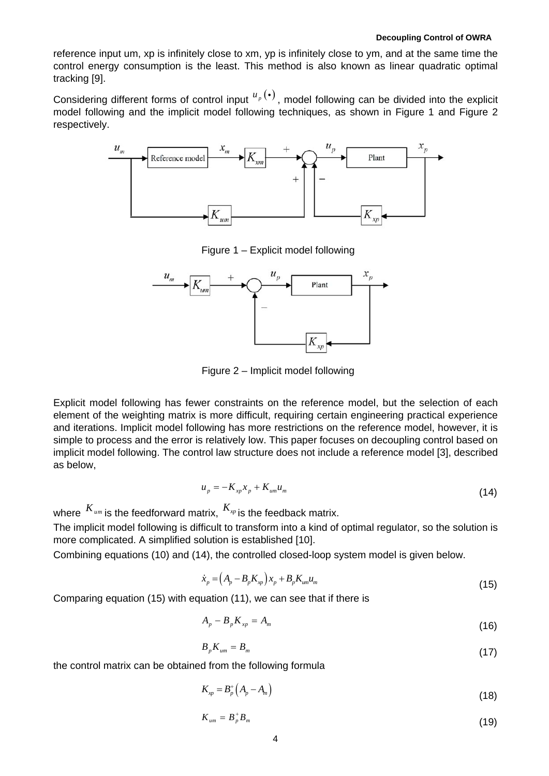reference input um, xp is infinitely close to xm, yp is infinitely close to ym, and at the same time the control energy consumption is the least. This method is also known as linear quadratic optimal tracking [9].

Considering different forms of control input  $u_p(\cdot)$ , model following can be divided into the explicit model following and the implicit model following techniques, as shown in Figure 1 and Figure 2 respectively.



Figure 1 – Explicit model following



Figure 2 – Implicit model following

Explicit model following has fewer constraints on the reference model, but the selection of each element of the weighting matrix is more difficult, requiring certain engineering practical experience and iterations. Implicit model following has more restrictions on the reference model, however, it is simple to process and the error is relatively low. This paper focuses on decoupling control based on implicit model following. The control law structure does not include a reference model [3], described as below,

$$
u_p = -K_{xp}x_p + K_{um}u_m \tag{14}
$$

where  $\,K_{\,\scriptscriptstyle{\ u m}}$  is the feedforward matrix,  $\,K_{\scriptscriptstyle{\cal X p}}$  is the feedback matrix.

The implicit model following is difficult to transform into a kind of optimal regulator, so the solution is more complicated. A simplified solution is established [10].

Combining equations (10) and (14), the controlled closed-loop system model is given below.

$$
\dot{x}_p = \left(A_p - B_p K_{xp}\right) x_p + B_p K_{um} u_m \tag{15}
$$

Comparing equation (15) with equation (11), we can see that if there is

$$
A_p - B_p K_{xp} = A_m \tag{16}
$$

$$
B_p K_{um} = B_m \tag{17}
$$

the control matrix can be obtained from the following formula

$$
K_{\rm xy} = B_p^+ \left( A_p - A_m \right) \tag{18}
$$

$$
K_{um} = B_p^+ B_m \tag{19}
$$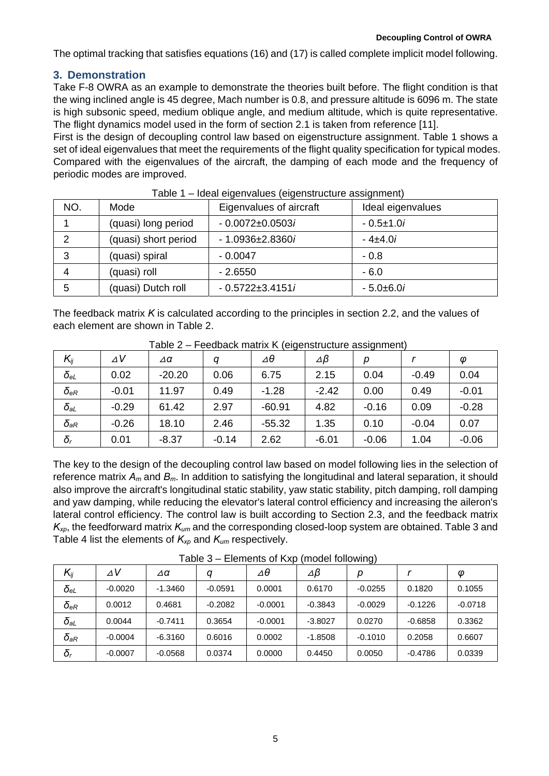The optimal tracking that satisfies equations (16) and (17) is called complete implicit model following.

## **3. Demonstration**

Take F-8 OWRA as an example to demonstrate the theories built before. The flight condition is that the wing inclined angle is 45 degree, Mach number is 0.8, and pressure altitude is 6096 m. The state is high subsonic speed, medium oblique angle, and medium altitude, which is quite representative. The flight dynamics model used in the form of section 2.1 is taken from reference [11].

First is the design of decoupling control law based on eigenstructure assignment. Table 1 shows a set of ideal eigenvalues that meet the requirements of the flight quality specification for typical modes. Compared with the eigenvalues of the aircraft, the damping of each mode and the frequency of periodic modes are improved.

| NO. | Mode                 | Eigenvalues of aircraft | Ideal eigenvalues |
|-----|----------------------|-------------------------|-------------------|
|     | (quasi) long period  | $-0.0072 \pm 0.0503i$   | $-0.5+1.0i$       |
| 2   | (quasi) short period | $-1.0936 \pm 2.8360i$   | $-4\pm 4.0i$      |
| 3   | (quasi) spiral       | $-0.0047$               | $-0.8$            |
| 4   | (quasi) roll         | $-2.6550$               | - 6.0             |
| 5   | (quasi) Dutch roll   | $-0.5722 \pm 3.4151i$   | $-5.0+6.0i$       |

| Table 1 – Ideal eigenvalues (eigenstructure assignment) |  |
|---------------------------------------------------------|--|
|                                                         |  |

The feedback matrix *K* is calculated according to the principles in section 2.2, and the values of each element are shown in Table 2.

| $1$ up to $\sim$<br><u>, ocapacın matrıx in jorgonotractare accigilinomi,</u> |         |          |         |                |         |         |         |         |
|-------------------------------------------------------------------------------|---------|----------|---------|----------------|---------|---------|---------|---------|
| $K_{ij}$                                                                      | ΔV      | Δa       | q       | $\Delta\theta$ | Δβ      | p       |         | φ       |
| $\delta_{\text{el}}$                                                          | 0.02    | $-20.20$ | 0.06    | 6.75           | 2.15    | 0.04    | $-0.49$ | 0.04    |
| $\bar{\delta}_{eR}$                                                           | $-0.01$ | 11.97    | 0.49    | $-1.28$        | $-2.42$ | 0.00    | 0.49    | $-0.01$ |
| $\delta_{aL}$                                                                 | $-0.29$ | 61.42    | 2.97    | $-60.91$       | 4.82    | $-0.16$ | 0.09    | $-0.28$ |
| $\bar{\delta}_{aR}$                                                           | $-0.26$ | 18.10    | 2.46    | $-55.32$       | 1.35    | 0.10    | $-0.04$ | 0.07    |
| $\delta_r$                                                                    | 0.01    | $-8.37$  | $-0.14$ | 2.62           | $-6.01$ | $-0.06$ | 1.04    | $-0.06$ |

Table 2 – Feedback matrix K (eigenstructure assignment)

The key to the design of the decoupling control law based on model following lies in the selection of reference matrix *Am* and *Bm*. In addition to satisfying the longitudinal and lateral separation, it should also improve the aircraft's longitudinal static stability, yaw static stability, pitch damping, roll damping and yaw damping, while reducing the elevator's lateral control efficiency and increasing the aileron's lateral control efficiency. The control law is built according to Section 2.3, and the feedback matrix *Kxp*, the feedforward matrix *Kum* and the corresponding closed-loop system are obtained. Table 3 and Table 4 list the elements of *Kxp* and *Kum* respectively.

Table 3 – Elements of Kxp (model following)

| $K_{ij}$                                | ΔV        | Δa        | a         | $\Delta\theta$ | ⊿β        | р         |           | Φ         |
|-----------------------------------------|-----------|-----------|-----------|----------------|-----------|-----------|-----------|-----------|
| $\delta_{eL}$                           | $-0.0020$ | $-1.3460$ | $-0.0591$ | 0.0001         | 0.6170    | $-0.0255$ | 0.1820    | 0.1055    |
| $\delta_{\text eR}$                     | 0.0012    | 0.4681    | $-0.2082$ | $-0.0001$      | $-0.3843$ | $-0.0029$ | $-0.1226$ | $-0.0718$ |
| $\delta_{\scriptscriptstyle \text{al}}$ | 0.0044    | $-0.7411$ | 0.3654    | $-0.0001$      | $-3.8027$ | 0.0270    | $-0.6858$ | 0.3362    |
| $\delta_{aR}$                           | $-0.0004$ | $-6.3160$ | 0.6016    | 0.0002         | $-1.8508$ | $-0.1010$ | 0.2058    | 0.6607    |
| $\delta_{r}$                            | $-0.0007$ | $-0.0568$ | 0.0374    | 0.0000         | 0.4450    | 0.0050    | $-0.4786$ | 0.0339    |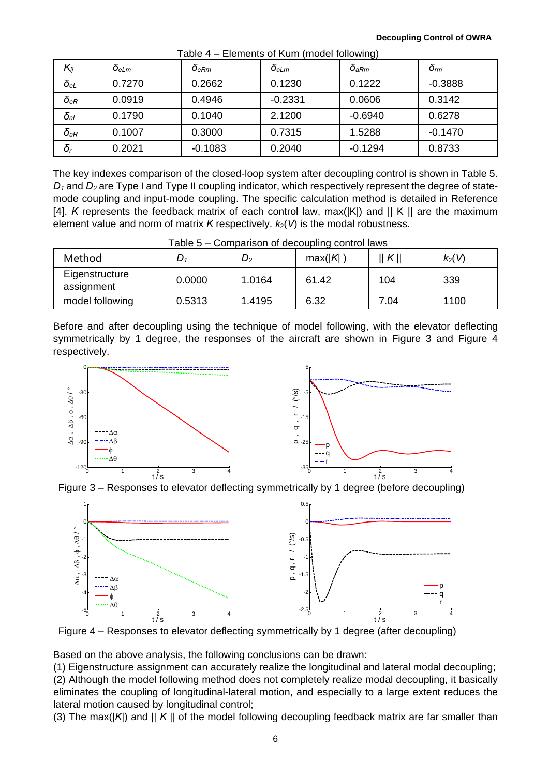| $K_{ij}$      | $\delta_{\rm eL}$ | $\overline{\mathsf{O}}_{\mathsf{eRm}}$ | $\overline{\mathsf{O}}_{\mathsf{aLm}}$ | , ט<br>$\delta_{aRm}$ | $\delta_{\textit{rm}}$ |
|---------------|-------------------|----------------------------------------|----------------------------------------|-----------------------|------------------------|
| $\delta_{eL}$ | 0.7270            | 0.2662                                 | 0.1230                                 | 0.1222                | $-0.3888$              |
| $\delta_{eR}$ | 0.0919            | 0.4946                                 | $-0.2331$                              | 0.0606                | 0.3142                 |
| $\delta_{aL}$ | 0.1790            | 0.1040                                 | 2.1200                                 | $-0.6940$             | 0.6278                 |
| $\delta_{aR}$ | 0.1007            | 0.3000                                 | 0.7315                                 | 1.5288                | $-0.1470$              |
| $\delta_{r}$  | 0.2021            | $-0.1083$                              | 0.2040                                 | $-0.1294$             | 0.8733                 |

Table 4 – Elements of Kum (model following)

The key indexes comparison of the closed-loop system after decoupling control is shown in Table 5. *D1* and *D2* are Type I and Type II coupling indicator, which respectively represent the degree of statemode coupling and input-mode coupling. The specific calculation method is detailed in Reference [4]. *K* represents the feedback matrix of each control law, max(|K|) and || K || are the maximum element value and norm of matrix *K* respectively. *k*2(*V*) is the modal robustness.

| י שושט<br>companiour or accoupling control laws |        |        |          |      |          |  |  |
|-------------------------------------------------|--------|--------|----------|------|----------|--|--|
| Method                                          | ּש     | $D_2$  | max( K ) | K    | $k_2(V)$ |  |  |
| Eigenstructure<br>assignment                    | 0.0000 | 1.0164 | 61.42    | 104  | 339      |  |  |
| model following                                 | 0.5313 | 1.4195 | 6.32     | 7.04 | 1100     |  |  |

Table 5 – Comparison of decoupling control laws

Before and after decoupling using the technique of model following, with the elevator deflecting symmetrically by 1 degree, the responses of the aircraft are shown in Figure 3 and Figure 4 respectively.







Figure 4 – Responses to elevator deflecting symmetrically by 1 degree (after decoupling)

Based on the above analysis, the following conclusions can be drawn:

(1) Eigenstructure assignment can accurately realize the longitudinal and lateral modal decoupling; (2) Although the model following method does not completely realize modal decoupling, it basically eliminates the coupling of longitudinal-lateral motion, and especially to a large extent reduces the lateral motion caused by longitudinal control;

(3) The max(|*K*|) and || *K* || of the model following decoupling feedback matrix are far smaller than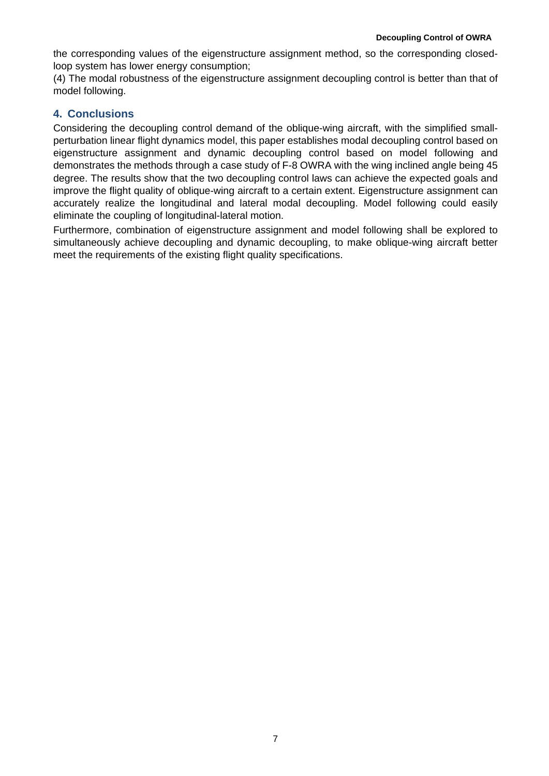the corresponding values of the eigenstructure assignment method, so the corresponding closedloop system has lower energy consumption;

(4) The modal robustness of the eigenstructure assignment decoupling control is better than that of model following.

## **4. Conclusions**

Considering the decoupling control demand of the oblique-wing aircraft, with the simplified smallperturbation linear flight dynamics model, this paper establishes modal decoupling control based on eigenstructure assignment and dynamic decoupling control based on model following and demonstrates the methods through a case study of F-8 OWRA with the wing inclined angle being 45 degree. The results show that the two decoupling control laws can achieve the expected goals and improve the flight quality of oblique-wing aircraft to a certain extent. Eigenstructure assignment can accurately realize the longitudinal and lateral modal decoupling. Model following could easily eliminate the coupling of longitudinal-lateral motion.

Furthermore, combination of eigenstructure assignment and model following shall be explored to simultaneously achieve decoupling and dynamic decoupling, to make oblique-wing aircraft better meet the requirements of the existing flight quality specifications.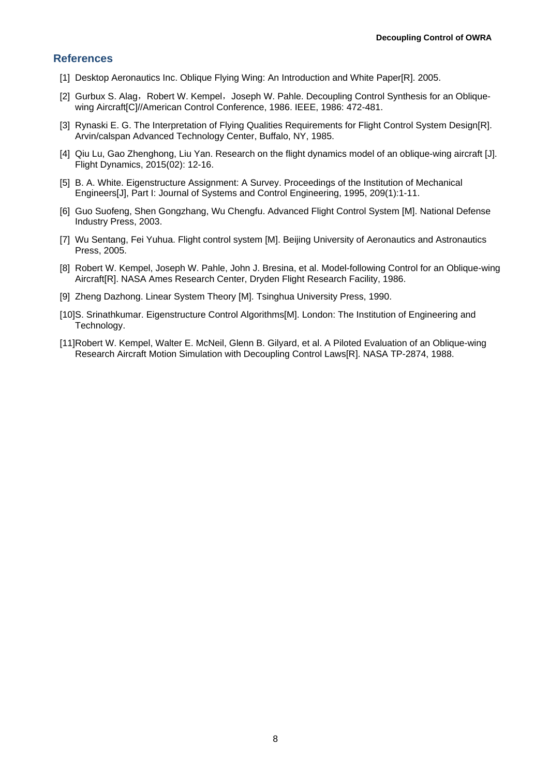#### **References**

- [1] Desktop Aeronautics Inc. Oblique Flying Wing: An Introduction and White Paper[R]. 2005.
- [2] Gurbux S. Alag, Robert W. Kempel, Joseph W. Pahle. Decoupling Control Synthesis for an Obliquewing Aircraft[C]//American Control Conference, 1986. IEEE, 1986: 472-481.
- [3] Rynaski E. G. The Interpretation of Flying Qualities Requirements for Flight Control System Design[R]. Arvin/calspan Advanced Technology Center, Buffalo, NY, 1985.
- [4] Qiu Lu, Gao Zhenghong, Liu Yan. Research on the flight dynamics model of an oblique-wing aircraft [J]. Flight Dynamics, 2015(02): 12-16.
- [5] B. A. White. Eigenstructure Assignment: A Survey. Proceedings of the Institution of Mechanical Engineers[J], Part I: Journal of Systems and Control Engineering, 1995, 209(1):1-11.
- [6] Guo Suofeng, Shen Gongzhang, Wu Chengfu. Advanced Flight Control System [M]. National Defense Industry Press, 2003.
- [7] Wu Sentang, Fei Yuhua. Flight control system [M]. Beijing University of Aeronautics and Astronautics Press, 2005.
- [8] Robert W. Kempel, Joseph W. Pahle, John J. Bresina, et al. Model-following Control for an Oblique-wing Aircraft[R]. NASA Ames Research Center, Dryden Flight Research Facility, 1986.
- [9] Zheng Dazhong. Linear System Theory [M]. Tsinghua University Press, 1990.
- [10] S. Srinathkumar. Eigenstructure Control Algorithms[M]. London: The Institution of Engineering and Technology.
- [11] Robert W. Kempel, Walter E. McNeil, Glenn B. Gilyard, et al. A Piloted Evaluation of an Oblique-wing Research Aircraft Motion Simulation with Decoupling Control Laws[R]. NASA TP-2874, 1988.